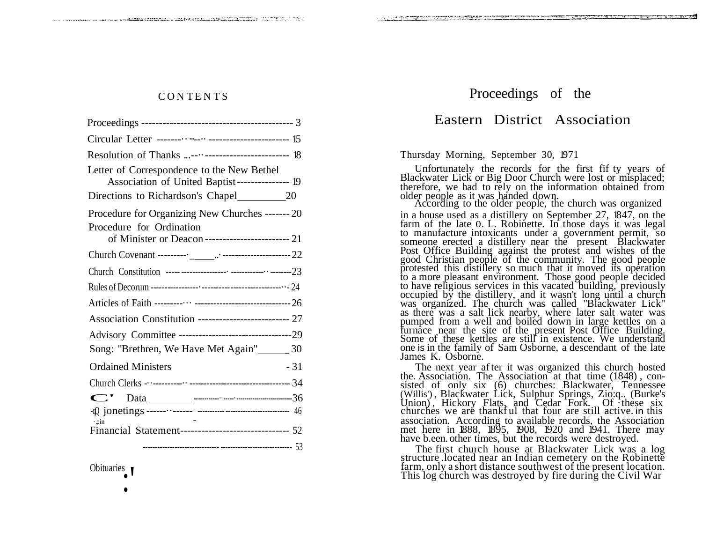r<del>ent de la pro</del>ceda de l'alcente de l'alcente de l'alcente (") de 2010 de 2010.

| Resolution of Thanks ----------------------------- 18                                                                             |
|-----------------------------------------------------------------------------------------------------------------------------------|
| Letter of Correspondence to the New Bethel<br>Association of United Baptist---------------- 19                                    |
|                                                                                                                                   |
| Procedure for Organizing New Churches ------- 20<br>Procedure for Ordination<br>of Minister or Deacon------------------------- 21 |
|                                                                                                                                   |
|                                                                                                                                   |
|                                                                                                                                   |
|                                                                                                                                   |
| Association Constitution -------------------------- 27                                                                            |
|                                                                                                                                   |
| Song: "Brethren, We Have Met Again"<br>20                                                                                         |
| <b>Ordained Ministers</b><br>- 31                                                                                                 |
|                                                                                                                                   |
|                                                                                                                                   |
|                                                                                                                                   |
| $\cdot$ : in<br>Financial Statement--------------------------------- 52                                                           |
|                                                                                                                                   |

Obituaries<br>
•

## CONTENTS Proceedings of the

## Eastern District Association

Thursday Morning, September 30, 1971

ਨ ਹਾਸ ਦਾ ਸਾਹਮਿਆ ਕਿ ਕਾਰੀਆਂ ਦਾ ਸ਼ਾਹਮਣੀ ਸ਼ਾਹਮਣੀ ਸ਼ਾਹਮਣੀ ਸ਼ਾਹਮਣੀ ਸ਼ਾਹਮਣੀ ਸ਼ਾਹਮਣੀ ਸ਼ਾਹਮਣੀ ਸ਼ਾਹਮਣੀ ਸ਼ਾਹਮਣੀ ਸ਼ਾਹਮਣੀ ਸ<br>ਸ਼ਾਹਮਣੀ ਸ਼ਾਹਮਣੀ ਸ਼ਾਹਮਣੀ ਸ਼ਾਹਮਣੀ ਸ਼ਾਹਮਣੀ ਸ਼ਾਹਮਣੀ ਸ਼ਾਹਮਣੀ ਸ਼ਾਹਮਣੀ ਸ਼ਾਹਮਣੀ ਸ਼ਾਹਮਣੀ ਸ਼ਾਹਮਣੀ ਸ਼ਾਹਮਣੀ ਸ਼ਾਹਮਣੀ ਸ਼ਾਹਮ

Unfortunately the records for the first fif ty years of Blackwater Lick or Big Door Church were lost or misplaced; therefore, we had to rely on the information obtained from older people as it was handed down.

According to the older people, the church was organized in a house used as a distillery on September 27, 1847, on the farm of the late 0. L. Robinette. In those days it was legal to manufacture intoxicants under a government permit, so someone erected a distillery near the present Blackwater Post Office Building against the protest and wishes of the good Christian people of the community. The good people protested this distillery so much that it moved its operation to a more pleasant environment. Those good people decided to have religious services in this vacated building, previously occupied by the distillery, and it wasn't long until a church was organized. The church was called "Blackwater Lick" as there was a salt lick nearby, where later salt water was pumped from a well and boiled down in large kettles on a furnace near the site of the present Post Office Building. Some of these kettles are still in existence. We understand one is in the family of Sam Osborne, a descendant of the late James K. Osborne.

The next year after it was organized this church hosted the. Association. The Association at that time (1848) , consisted of only six (6) churches: Blackwater, Tennessee (Willis') , Blackwater Lick, Sulphur Springs, Zio:q.. (Burke's Union), Hickory Flats, and Cedar Fork. Of these six -qQ; jonetings------··------ ------------------------------------- <sup>46</sup> churches we are thankf ul that four are still active. in this association. According to available records, the Association met here in 1888, 1895, 1908, 1920 and 1941. There may have b.een. other times, but the records were destroyed.

> The first church house at Blackwater Lick was a log structure . located near an Indian cemetery on the Robinette farm, only a short distance southwest of the present location. This log church was destroyed by fire during the Civil War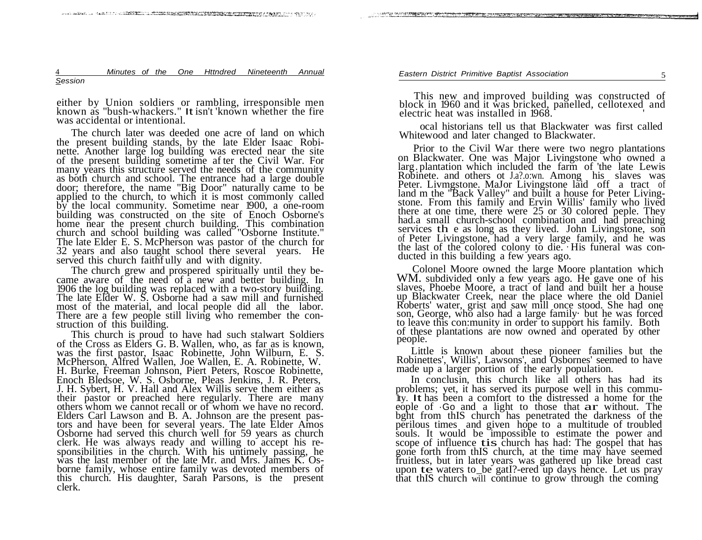4 *Minutes of the One Httndred Nineteenth Annual Session*

either by Union soldiers or rambling, irresponsible men known as "bush-whackers." It isn't 'known whether the fire was accidental or intentional.

The church later was deeded one acre of land on which the present building stands, by the late Elder Isaac Robinette. Another large log building was erected near the site of the present building sometime af ter the Civil War. For many years this structure served the needs of the community as both church and school. The entrance had a large double door; therefore, the name "Big Door" naturally came to be applied to the church, to which it is most commonly called by the local community. Sometime near 1900, a one-room building was constructed on the site of Enoch Osborne's home near the present church building. This combination church and school building was called "Osborne Institute." The late Elder E. S. McPherson was pastor of the church for 32 years and also taught school there several years. He served this church faithf ully and with dignity.

The church grew and prospered spiritually until they became aware of the need of a new and better building. In 1906 the log building was replaced with a two-story building. The late Elder W. S. Osborne had a saw mill and furnished most of the material, and local people did all the labor. There are a few people still living who remember the construction of this building.

This church is proud to have had such stalwart Soldiers of the Cross as Elders G. B. Wallen, who, as far as is known, was the first pastor, Isaac Robinette, John Wilburn, E. S. McPherson, Alfred Wallen, Joe Wallen, E. A. Robinette, W. H. Burke, Freeman Johnson, Piert Peters, Roscoe Robinette, Enoch Bledsoe, W. S. Osborne, Pleas Jenkins, J. R. Peters, J. H. Sybert, H. V. Hall and Alex Willis serve them either as their pastor or preached here regularly. There are many others whom we cannot recall or of whom we have no record. Elders Carl Lawson and B. A. Johnson are the present pastors and have been for several years. The late Elder Amos Osborne had served this church well for 59 years as church clerk. He was always ready and willing to accept his responsibilities in the church. With his untimely passing, he was the last member of the late Mr. and Mrs. James K. Osborne family, whose entire family was devoted members of this church. His daughter, Sarah Parsons, is the present clerk.

This new and improved building was constructed of block in 1960 and it was bricked, panelled, cellotexed and electric heat was installed in 1968.

ocal historians tell us that Blackwater was first called Whitewood and later changed to Blackwater.

Prior to the Civil War there were two negro plantations on Blackwater. One was Major Livingstone who owned a larg. plantation which included the farm of 'the late Lewis Robinete. and others ot J.a?.o:wn. Among his slaves was Peter. Livmgstone. MaJor Livingstone laid off a tract of land m the "Back Valley" and built a house for Peter Livingstone. From this family and Ervin Willis' family who lived there at one time, there were 25 or 30 colored peple. They had.a small church-school combination and had preaching services th e as long as they lived. John Livingstone, son of Peter Livingstone, had a very large family, and he was the last of the colored colony to die. · His funeral was conducted in this building a few years ago.

Colonel Moore owned the large Moore plantation which WM. subdivided only a few years ago. He gave one of his slaves, Phoebe Moore, a tract of land and built her a house up Blackwater Creek, near the place where the old Daniel Roberts' water, grist and saw mill once stood. She had one son, George, who also had a large family· but he was forced to leave this con:munity in order to support his family. Both of these plantations are now owned and operated by other people.

Little is known about these pioneer families but the Robinettes', Willis', Lawsons', and Osbornes' seemed to have made up a larger portion of the early population.

In conclusin, this church like all others has had its problems; yet, it has served its purpose well in this commu-1ty. It has been a comfort to the distressed a home for the eople of ·Go and <sup>a</sup> light to those that ar without. The bght from thIS church has penetrated the darkness of the perilous times and given hope to a multitude of troubled souls. It would be impossible to estimate the power and scope of influence tis church has had: The gospel that has gone forth from thIS church, at the time may have seemed fruitless, but in later years was gathered up like bread cast upon te waters to be gatI?-ered up days hence. Let us pray that thIS church will continue to grow through the coming